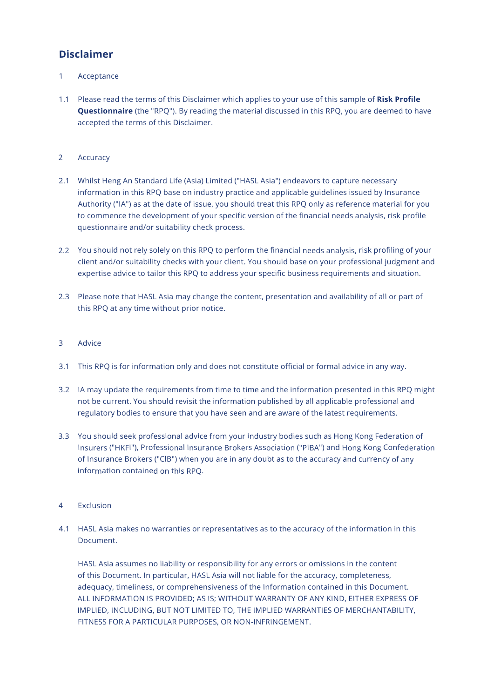# **Disclaimer**

- 1Acceptance
- 1.1 Please read the terms of this Disclaimer which applies to your use of this sample of **Risk Profile Questionnaire** (the "RPQ"). By reading the material discussed in this RPQ, you are deemed to have accepted the terms of this Disclaimer.
- 2Accuracy
- 2.1 Whilst Heng An Standard Life (Asia) Limited ("HASL Asia") endeavors to capture necessary information in this RPQ base on industry practice and applicable guidelines issued by Insurance Authority ("IA") as at the date of issue, you should treat this RPQ only as reference material for you to commence the development of your specific version of the financial needs analysis, risk profile questionnaire and/or suitability check process.
- 2.2 You should not rely solely on this RPQ to perform the financial needs analysis, risk profiling of your client and/or suitability checks with your client. You should base on your professional judgment and expertise advice to tailor this RPQ to address your specific business requirements and situation.
- 2.3 Please note that HASL Asia may change the content, presentation and availability of all or part of this RPQ at any time without prior notice.

## 3 Advice

- 3.1 This RPQ is for information only and does not constitute official or formal advice in any way.
- 3.2 IA may update the requirements from time to time and the information presented in this RPQ might not be current. You should revisit the information published by all applicable professional and regulatory bodies to ensure that you have seen and are aware of the latest requirements.
- 3.3 You should seek professional advice from your industry bodies such as Hong Kong Federation of Insurers ("HKFI"), Professional Insurance Brokers Association ("PIBA") and Hong Kong Confederation of Insurance Brokers ("ClB") when you are in any doubt as to the accuracy and currency of any information contained on this RPQ.
- 4Exclusion
- 4.1 HASL Asia makes no warranties or representatives as to the accuracy of the information in this Document.

HASL Asia assumes no liability or responsibility for any errors or omissions in the content of this Document. In particular, HASL Asia will not liable for the accuracy, completeness, adequacy, timeliness, or comprehensiveness of the Information contained in this Document. ALL INFORMATION IS PROVIDED; AS IS; WITHOUT WARRANTY OF ANY KIND, EITHER EXPRESS OF IMPLIED, INCLUDING, BUT NOT LIMITED TO, THE IMPLIED WARRANTIES OF MERCHANTABILITY, FITNESS FOR A PARTICULAR PURPOSES, OR NON-INFRINGEMENT.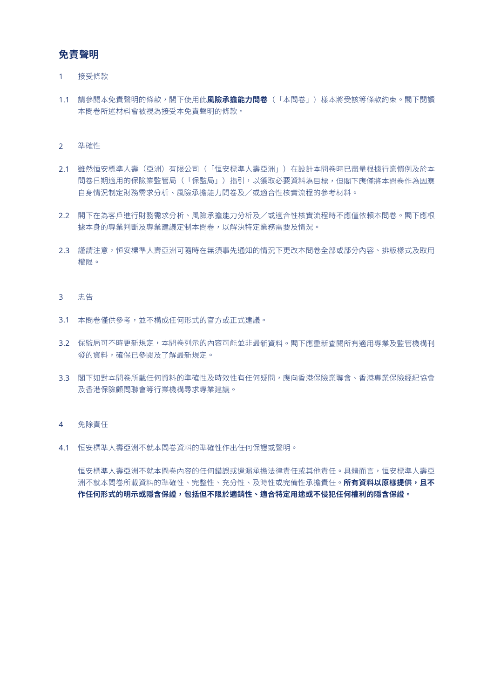## **免責聲明**

### 1接受條款

1.1 請參閱本免責聲明的條款,閣下使用此**風險承擔能力問卷**(「本問卷」)樣本將受該等條款約束。閣下閱讀 本問卷所述材料會被視為接受本免責聲明的條款。

### 2準確性

- 2.1 雖然恒安標準人壽(亞洲)有限公司(「恒安標準人壽亞洲」)在設計本問卷時已盡量根據行業慣例及於本 問卷日期適用的保險業監管局(「保監局」)指引,以獲取必要資料為目標,但閣下應僅將本問卷作為因應 自身情況制定財務需求分析、風險承擔能力問卷及/或適合性核實流程的參考材料。
- 2.2 閣下在為客戶進行財務需求分析、風險承擔能力分析及/或適合性核實流程時不應僅依賴本問卷。閣下應根 據本身的專業判斷及專業建議定制本問卷,以解決特定業務需要及情況。
- 2.3 謹請注意,恒安標準人壽亞洲可隨時在無須事先通知的情況下更改本問卷全部或部分內容、排版樣式及取用 權限。

## 3 忠告

- 3.1 本問卷僅供參考,並不構成任何形式的官方或正式建議。
- 3.2 保監局可不時更新規定,本問卷列示的內容可能並非最新資料。閣下應重新查閱所有適用專業及監管機構刊 發的資料,確保已參閱及了解最新規定。
- 3.3 閣下如對本問卷所載任何資料的準確性及時效性有任何疑問,應向香港保險業聯會、香港專業保險經紀協會 及香港保險顧問聯會等行業機構尋求專業建議。

### $\Delta$ 免除責任

4.1 恒安標準人壽亞洲不就本問卷資料的準確性作出任何保證或聲明。

恒安標準人壽亞洲不就本問卷內容的任何錯誤或遺漏承擔法律責任或其他責任。具體而言,恒安標準人壽亞 洲不就本問卷所載資料的準確性、完整性、充分性、及時性或完備性承擔責任。**所有資料以原樣提供,且不 作任何形式的明示或隱含保證,包括但不限於適銷性、適合特定用途或不侵犯任何權利的隱含保證。**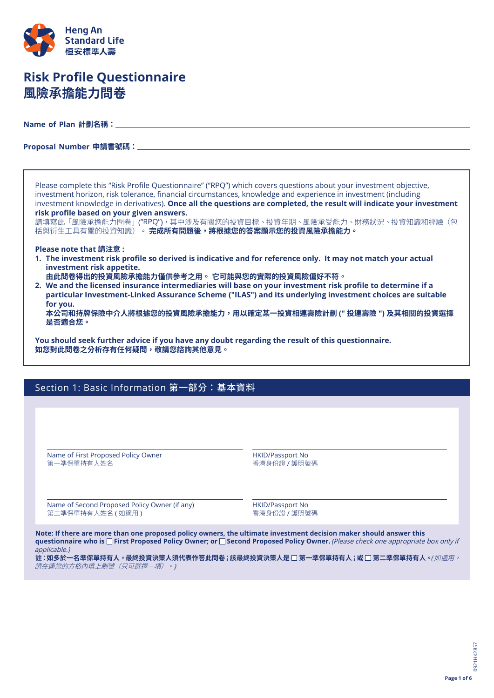

# **Risk Profile Questionnaire 風險承擔能力問卷**

**Name of Plan 計劃名稱:**

**Proposal Number 申請書號碼:**

Please complete this "Risk Profile Questionnaire" ("RPQ") which covers questions about your investment objective, investment horizon, risk tolerance, financial circumstances, knowledge and experience in investment (including investment knowledge in derivatives). **Once all the questions are completed, the result will indicate your investment risk profile based on your given answers.**

請填寫此「風險承擔能力問卷」("RPQ"),其中涉及有關您的投資目標、投資年期、風險承受能力、財務狀況、投資知識和經驗(包 括與衍生工具有關的投資知識)。 **完成所有問題後,將根據您的答案顯示您的投資風險承擔能力。**

## **Please note that 請注意 :**

- **1. The investment risk profile so derived is indicative and for reference only. It may not match your actual investment risk appetite.**
- **由此問卷得出的投資風險承擔能力僅供參考之用。 它可能與您的實際的投資風險偏好不符。**
- **2. We and the licensed insurance intermediaries will base on your investment risk profile to determine if a particular Investment-Linked Assurance Scheme ("ILAS") and its underlying investment choices are suitable for you.**

 **本公司和持牌保險中介人將根據您的投資風險承擔能力,用以確定某一投資相連壽險計劃 (" 投連壽險 ") 及其相關的投資選擇 是否適合您。**

**You should seek further advice if you have any doubt regarding the result of this questionnaire. 如您對此問卷之分析存有任何疑問,敬請您諮詢其他意見。**

## Section 1: Basic Information 第一部分:基本資料

Name of First Proposed Policy Owner 第一準保單持有人姓名

HKID/Passport No 香港身份證 / 護照號碼

Name of Second Proposed Policy Owner (if any) 第二準保單持有人姓名 (如適用)

HKID/Passport No 香港身份證 / 護照號碼

Note: If there are more than one proposed policy owners, the ultimate investment decision maker should answer this **questionnaire who is First Proposed Policy Owner; or Second Proposed Policy Owner.** (Please check one appropriate box only if applicable.)

**註:如多於一名準保單持有人,最終投資決策人須代表作答此問卷;該最終投資決策人是 第一準保單持有人;或 第二準保單持有人。**( 如適用, 請在適當的方格內填上剔號(只可選擇一項)。)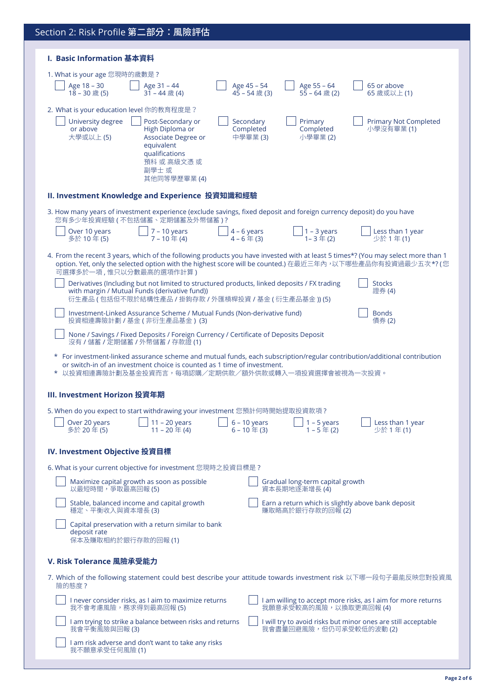| Section 2: Risk Profile 第二部分: 風險評估                                                                                                                                                                                                                                                                                                               |  |  |  |  |  |  |
|--------------------------------------------------------------------------------------------------------------------------------------------------------------------------------------------------------------------------------------------------------------------------------------------------------------------------------------------------|--|--|--|--|--|--|
| I. Basic Information 基本資料                                                                                                                                                                                                                                                                                                                        |  |  |  |  |  |  |
| 1. What is your age 您現時的歲數是?                                                                                                                                                                                                                                                                                                                     |  |  |  |  |  |  |
| Age 18 - 30<br>Age 45 - 54<br>65 or above<br>Age 31 - 44<br>Age 55 - 64<br>18-30歲(5)<br>$45 - 54$ 歲 (3)<br>$55 - 64$ 歲 (2)<br>31-44歳(4)<br>65 歲或以上(1)                                                                                                                                                                                            |  |  |  |  |  |  |
| 2. What is your education level 你的教育程度是?<br>University degree<br>Post-Secondary or<br>Secondary<br>Primary<br><b>Primary Not Completed</b><br>Completed<br>小學沒有畢業(1)<br>or above<br>High Diploma or<br>Completed<br>大學或以上(5)<br>中學畢業(3)<br>小學畢業(2)<br>Associate Degree or<br>equivalent<br>qualifications<br>預科 或 高級文憑 或<br>副學士 或<br>其他同等學歷畢業(4) |  |  |  |  |  |  |
| II. Investment Knowledge and Experience 投資知識和經驗                                                                                                                                                                                                                                                                                                  |  |  |  |  |  |  |
| 3. How many years of investment experience (exclude savings, fixed deposit and foreign currency deposit) do you have<br>您有多少年投資經驗(不包括儲蓄、定期儲蓄及外幣儲蓄)?                                                                                                                                                                                              |  |  |  |  |  |  |
| Over 10 years<br>$7 - 10$ years<br>$4 - 6$ years<br>$1 - 3$ years<br>Less than 1 year<br>$4 - 6 \pm (3)$<br>$1 - 3$ 年 (2)<br>少於 1年(1)<br>多於 10年(5)                                                                                                                                                                                               |  |  |  |  |  |  |
| 4. From the recent 3 years, which of the following products you have invested with at least 5 times*? (You may select more than 1<br>option. Yet, only the selected option with the highest score will be counted.) 在最近三年內,以下哪些產品你有投資過最少五次*? (您<br>可選擇多於一項,惟只以分數最高的選項作計算)                                                                        |  |  |  |  |  |  |
| Derivatives (Including but not limited to structured products, linked deposits / FX trading<br><b>Stocks</b><br>with margin / Mutual Funds (derivative fund))<br>證券(4)<br>衍生產品(包括但不限於結構性產品/掛鉤存款/外匯槓桿投資/基金(衍生產品基金))(5)                                                                                                                            |  |  |  |  |  |  |
| Investment-Linked Assurance Scheme / Mutual Funds (Non-derivative fund)<br><b>Bonds</b><br>投資相連壽險計劃 / 基金 (非衍生產品基金) (3)<br>債券(2)                                                                                                                                                                                                                  |  |  |  |  |  |  |
| None / Savings / Fixed Deposits / Foreign Currency / Certificate of Deposits Deposit<br>沒有 / 儲蓄 / 定期儲蓄 / 外幣儲蓄 / 存款證 (1)                                                                                                                                                                                                                          |  |  |  |  |  |  |
| * For investment-linked assurance scheme and mutual funds, each subscription/regular contribution/additional contribution<br>or switch-in of an investment choice is counted as 1 time of investment.<br>* 以投資相連壽險計劃及基金投資而言,每項認購/定期供款/額外供款或轉入一項投資選擇會被視為一次投資。                                                                                     |  |  |  |  |  |  |
| III. Investment Horizon 投資年期                                                                                                                                                                                                                                                                                                                     |  |  |  |  |  |  |
| 5. When do you expect to start withdrawing your investment 您預計何時開始提取投資款項 ?<br>$1 - 5$ years<br>$6 - 10$ years<br>Over 20 years<br>$11 - 20$ years<br>Less than 1 year<br>$11 - 20$ 年(4)<br>$1 - 5$ 年(2)<br>少於1年(1)<br>多於 20年(5)                                                                                                                  |  |  |  |  |  |  |
| <b>IV. Investment Objective 投資目標</b>                                                                                                                                                                                                                                                                                                             |  |  |  |  |  |  |
| 6. What is your current objective for investment 您現時之投資目標是 ?                                                                                                                                                                                                                                                                                     |  |  |  |  |  |  |
| Maximize capital growth as soon as possible<br>Gradual long-term capital growth<br>以最短時間,爭取最高回報 (5)<br>資本長期地逐漸增長(4)                                                                                                                                                                                                                              |  |  |  |  |  |  |
| Stable, balanced income and capital growth<br>Earn a return which is slightly above bank deposit<br>穩定、平衡收入與資本增長 (3)<br>賺取略高於銀行存款的回報(2)                                                                                                                                                                                                          |  |  |  |  |  |  |
| Capital preservation with a return similar to bank<br>deposit rate<br>保本及賺取相約於銀行存款的回報(1)                                                                                                                                                                                                                                                         |  |  |  |  |  |  |
| V. Risk Tolerance 風險承受能力                                                                                                                                                                                                                                                                                                                         |  |  |  |  |  |  |
| 7. Which of the following statement could best describe your attitude towards investment risk 以下哪一段句子最能反映您對投資風<br>險的熊度?                                                                                                                                                                                                                          |  |  |  |  |  |  |
| I never consider risks, as I aim to maximize returns<br>I am willing to accept more risks, as I aim for more returns<br>我願意承受較高的風險,以換取更高回報(4)<br>我不會考慮風險,務求得到最高回報 (5)                                                                                                                                                                            |  |  |  |  |  |  |
| I am trying to strike a balance between risks and returns<br>I will try to avoid risks but minor ones are still acceptable<br>我會盡量回避風險,但仍可承受較低的波動(2)<br>我會平衡風險與回報(3)                                                                                                                                                                             |  |  |  |  |  |  |
| I am risk adverse and don't want to take any risks<br>我不願意承受任何風險(1)                                                                                                                                                                                                                                                                              |  |  |  |  |  |  |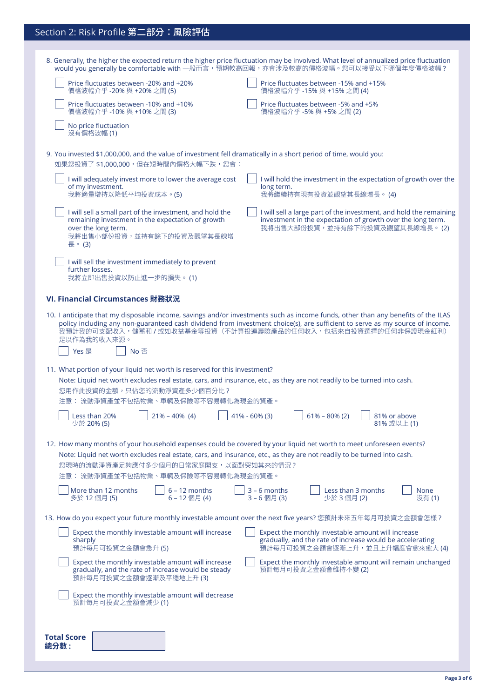# Section 2: Risk Profile 第二部分:風險評估

| 8. Generally, the higher the expected return the higher price fluctuation may be involved. What level of annualized price fluctuation<br>would you generally be comfortable with 一般而言,預期較高回報,亦會涉及較高的價格波幅。您可以接受以下哪個年度價格波幅?                                                                                                                                                                            |  |  |  |  |  |
|------------------------------------------------------------------------------------------------------------------------------------------------------------------------------------------------------------------------------------------------------------------------------------------------------------------------------------------------------------------------------------------------------|--|--|--|--|--|
| Price fluctuates between -20% and +20%<br>Price fluctuates between -15% and +15%<br>價格波幅介乎-20%與+20%之間(5)<br>價格波幅介乎 -15% 與 +15% 之間 (4)                                                                                                                                                                                                                                                                |  |  |  |  |  |
| Price fluctuates between -10% and +10%<br>Price fluctuates between -5% and +5%<br>價格波幅介乎-10%與+10%之間(3)<br>價格波幅介乎 -5% 與 +5% 之間 (2)                                                                                                                                                                                                                                                                    |  |  |  |  |  |
| No price fluctuation<br>沒有價格波幅(1)                                                                                                                                                                                                                                                                                                                                                                    |  |  |  |  |  |
| 9. You invested \$1,000,000, and the value of investment fell dramatically in a short period of time, would you:<br>如果您投資了 \$1,000,000,但在短時間內價格大幅下跌,您會:                                                                                                                                                                                                                                              |  |  |  |  |  |
| I will adequately invest more to lower the average cost<br>I will hold the investment in the expectation of growth over the<br>of my investment.<br>long term.<br>我將適量增持以降低平均投資成本。(5)<br>我將繼續持有現有投資並觀望其長線增長。(4)                                                                                                                                                                                      |  |  |  |  |  |
| I will sell a small part of the investment, and hold the<br>I will sell a large part of the investment, and hold the remaining<br>remaining investment in the expectation of growth<br>investment in the expectation of growth over the long term.<br>over the long term.<br>我將出售大部份投資,並持有餘下的投資及觀望其長線增長。(2)<br>我將出售小部份投資,並持有餘下的投資及觀望其長線增<br>長。(3)                                                    |  |  |  |  |  |
| I will sell the investment immediately to prevent<br>further losses.<br>我將立即出售投資以防止進一步的損失。(1)                                                                                                                                                                                                                                                                                                        |  |  |  |  |  |
| VI. Financial Circumstances 財務狀況                                                                                                                                                                                                                                                                                                                                                                     |  |  |  |  |  |
| 10. I anticipate that my disposable income, savings and/or investments such as income funds, other than any benefits of the ILAS<br>policy including any non-guaranteed cash dividend from investment choice(s), are sufficient to serve as my source of income.<br>我預計我的可支配收入,儲蓄和 / 或如收益基金等投資(不計算投連壽險產品的任何收入,包括來自投資選擇的任何非保證現金紅利)<br>足以作為我的收入來源。<br>No否<br>Yes 是                                     |  |  |  |  |  |
| 11. What portion of your liquid net worth is reserved for this investment?<br>Note: Liquid net worth excludes real estate, cars, and insurance, etc., as they are not readily to be turned into cash.<br>您用作此投資的金額,只佔您的流動淨資產多少個百分比?<br>注意: 流動淨資產並不包括物業、車輛及保險等不容易轉化為現金的資產。<br>Less than 20%<br>$21\% - 40\%$ (4)<br>$41\% - 60\%$ (3)<br>$61\% - 80\% (2)$<br>81% or above<br>81%或以上(1)<br>少於 20% (5) |  |  |  |  |  |
| 12. How many months of your household expenses could be covered by your liquid net worth to meet unforeseen events?<br>Note: Liquid net worth excludes real estate, cars, and insurance, etc., as they are not readily to be turned into cash.<br>您現時的流動淨資產足夠應付多少個月的日常家庭開支,以面對突如其來的情況?<br>注意: 流動淨資產並不包括物業、車輛及保險等不容易轉化為現金的資產。                                                                         |  |  |  |  |  |
| More than 12 months<br>$6 - 12$ months<br>$3 - 6$ months<br>Less than 3 months<br><b>None</b><br>多於 12 個月 (5)<br>3-6個月(3)<br>少於 3 個月 (2)<br>6-12個月(4)<br>沒有(1)                                                                                                                                                                                                                                       |  |  |  |  |  |
| 13. How do you expect your future monthly investable amount over the next five years? 您預計未來五年每月可投資之金額會怎樣?<br>Expect the monthly investable amount will increase<br>Expect the monthly investable amount will increase<br>gradually, and the rate of increase would be accelerating<br>sharply<br>預計每月可投資之金額會逐漸上升,並且上升幅度會愈來愈大(4)<br>預計每月可投資之金額會急升(5)                                                  |  |  |  |  |  |
| Expect the monthly investable amount will increase<br>Expect the monthly investable amount will remain unchanged<br>預計每月可投資之金額會維持不變(2)<br>gradually, and the rate of increase would be steady<br>預計每月可投資之金額會逐漸及平穩地上升(3)                                                                                                                                                                              |  |  |  |  |  |
| Expect the monthly investable amount will decrease<br>預計每月可投資之金額會減少(1)                                                                                                                                                                                                                                                                                                                               |  |  |  |  |  |
| <b>Total Score</b><br>總分數:                                                                                                                                                                                                                                                                                                                                                                           |  |  |  |  |  |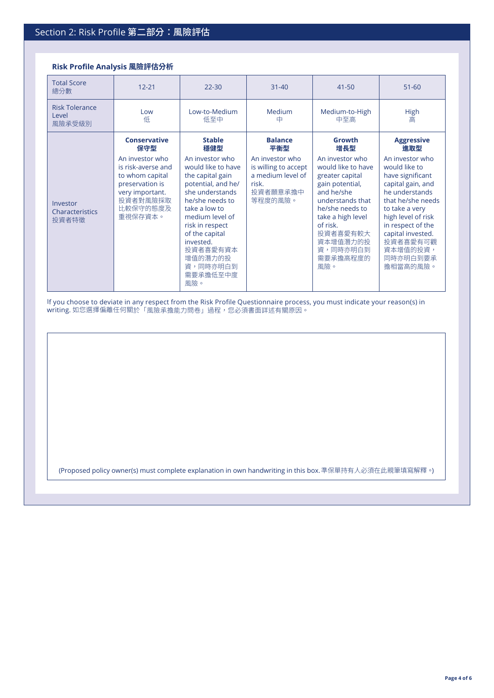## **Risk Profile Analysis 風險評估分析**

| <b>Total Score</b><br>總分數                | $12 - 21$                                                                                                                         | $22 - 30$                                                                                                                                                                                                                                                         | $31 - 40$                                                                                    | $41 - 50$                                                                                                                                                                                                                | $51 - 60$                                                                                                                                                                                                                                          |
|------------------------------------------|-----------------------------------------------------------------------------------------------------------------------------------|-------------------------------------------------------------------------------------------------------------------------------------------------------------------------------------------------------------------------------------------------------------------|----------------------------------------------------------------------------------------------|--------------------------------------------------------------------------------------------------------------------------------------------------------------------------------------------------------------------------|----------------------------------------------------------------------------------------------------------------------------------------------------------------------------------------------------------------------------------------------------|
| <b>Risk Tolerance</b><br>Level<br>風險承受級別 | Low<br>低                                                                                                                          | Low-to-Medium<br>低至中                                                                                                                                                                                                                                              | Medium<br>中                                                                                  | Medium-to-High<br>中至高                                                                                                                                                                                                    | High<br>高                                                                                                                                                                                                                                          |
|                                          | <b>Conservative</b><br>保守型                                                                                                        | <b>Stable</b><br>穩健型                                                                                                                                                                                                                                              | <b>Balance</b><br>平衡型                                                                        | Growth<br>增長型                                                                                                                                                                                                            | <b>Aggressive</b><br>進取型                                                                                                                                                                                                                           |
| Investor<br>Characteristics<br>投資者特徵     | An investor who<br>is risk-averse and<br>to whom capital<br>preservation is<br>very important.<br>投資者對風險採取<br>比較保守的態度及<br>重視保存資本。 | An investor who<br>would like to have<br>the capital gain<br>potential, and he/<br>she understands<br>he/she needs to<br>take a low to<br>medium level of<br>risk in respect<br>of the capital<br>invested.<br>投資者喜愛有資本<br>增值的潛力的投<br>資,同時亦明白到<br>需要承擔低至中度<br>風險。 | An investor who<br>is willing to accept<br>a medium level of<br>risk.<br>投資者願意承擔中<br>等程度的風險。 | An investor who<br>would like to have<br>greater capital<br>gain potential,<br>and he/she<br>understands that<br>he/she needs to<br>take a high level<br>of risk.<br>投資者喜愛有較大<br>資本增值潛力的投<br>資,同時亦明白到<br>需要承擔高程度的<br>風險。 | An investor who<br>would like to<br>have significant<br>capital gain, and<br>he understands<br>that he/she needs<br>to take a very<br>high level of risk<br>in respect of the<br>capital invested.<br>投資者喜愛有可觀<br>資本增值的投資,<br>同時亦明白到要承<br>擔相當高的風險。 |

If you choose to deviate in any respect from the Risk Profile Questionnaire process, you must indicate your reason(s) in **writing.** 如您選擇偏離任何關於「風險承擔能力問卷」過程,您必須書面詳述有關原因。

(Proposed policy owner(s) must complete explanation in own handwriting in this box.準保單持有人必須在此親筆填寫解釋。)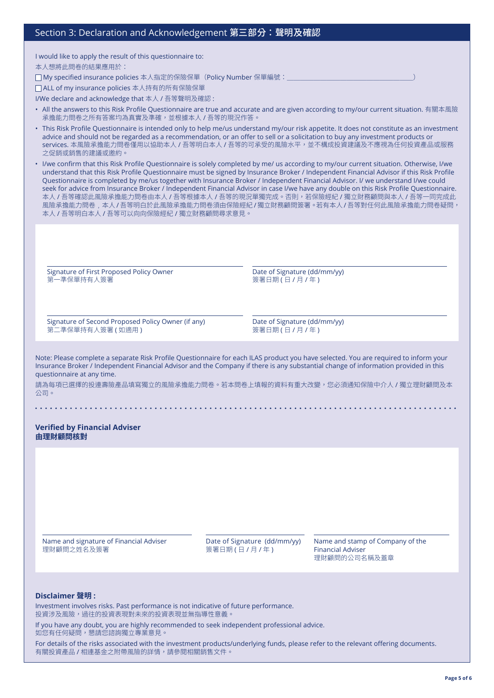| Section 3: Declaration and Acknowledgement 第三部分:聲明及確認 |  |
|-------------------------------------------------------|--|
|-------------------------------------------------------|--|

I would like to apply the result of this questionnaire to:

本人想將此問卷的結果應用於:

□ My specified insurance policies 本人指定的保險保單 (Policy Number 保單編號:

ALL of my insurance policies 本人持有的所有保險保單

I/We declare and acknowledge that 本人 / 吾等聲明及確認 :

- All the answers to this Risk Profile Questionnaire are true and accurate and are given according to my/our current situation. 有關本風險 承擔能力問卷之所有答案均為真實及準確,並根據本人 / 吾等的現況作答。
- This Risk Profile Questionnaire is intended only to help me/us understand my/our risk appetite. It does not constitute as an investment advice and should not be regarded as a recommendation, or an offer to sell or a solicitation to buy any investment products or services. 本風險承擔能力問卷僅用以協助本人 / 吾等明白本人 / 吾等的可承受的風險水平,並不構成投資建議及不應視為任何投資產品或服務 之促銷或銷售的建議或邀約。

• I/we confirm that this Risk Profile Questionnaire is solely completed by me/ us according to my/our current situation. Otherwise, I/we understand that this Risk Profile Questionnaire must be signed by Insurance Broker / Independent Financial Advisor if this Risk Profile Questionnaire is completed by me/us together with Insurance Broker / Independent Financial Advisor. I/ we understand I/we could seek for advice from Insurance Broker / Independent Financial Advisor in case I/we have any double on this Risk Profile Questionnaire. 本人 / 吾等確認此風險承擔能力問卷由本人 / 吾等根據本人 / 吾等的現況單獨完成。否則, 若保險經紀 / 獨立財務顧問與本人 / 吾等一同完成此 風險承擔能力問卷﹐本人 / 吾等明白於此風險承擔能力問卷須由保險經紀 / 獨立財務顧問簽署。若有本人 / 吾等對任何此風險承擔能力問卷疑問, 本人 / 吾等明白本人 / 吾等可以向向保險經紀 / 獨立財務顧問尋求意見。

Signature of First Proposed Policy Owner 第一準保單持有人簽署

Date of Signature (dd/mm/yy) 簽署日期(日/月/年)

Signature of Second Proposed Policy Owner (if any) 第二準保單持有人簽署 (如適用)

Date of Signature (dd/mm/yy) 簽署日期 (日 / 月 / 年)

Note: Please complete a separate Risk Profile Questionnaire for each ILAS product you have selected. You are required to inform your Insurance Broker / Independent Financial Advisor and the Company if there is any substantial change of information provided in this questionnaire at any time.

請為每項已選擇的投連壽險產品填寫獨立的風險承擔能力問卷。若本問卷上填報的資料有重大改變,您必須通知保險中介人 / 獨立理財顧問及本 公司。

**Verified by Financial Adviser 由理財顧問核對**

Name and signature of Financial Adviser 理財顧問之姓名及簽署

Date of Signature (dd/mm/yy) 簽署日期 (日 / 月 / 年)

Name and stamp of Company of the Financial Adviser 理財顧問的公司名稱及蓋章

### **Disclaimer 聲明 :**

Investment involves risks. Past performance is not indicative of future performance. 投資涉及風險,過往的投資表現對未來的投資表現並無指導性意義。

If you have any doubt, you are highly recommended to seek independent professional advice.

如您有任何疑問,懇請您諮詢獨立專業意見。

For details of the risks associated with the investment products/underlying funds, please refer to the relevant offering documents. 有關投資產品 / 相連基金之附帶風險的詳情,請參閱相關銷售文件。